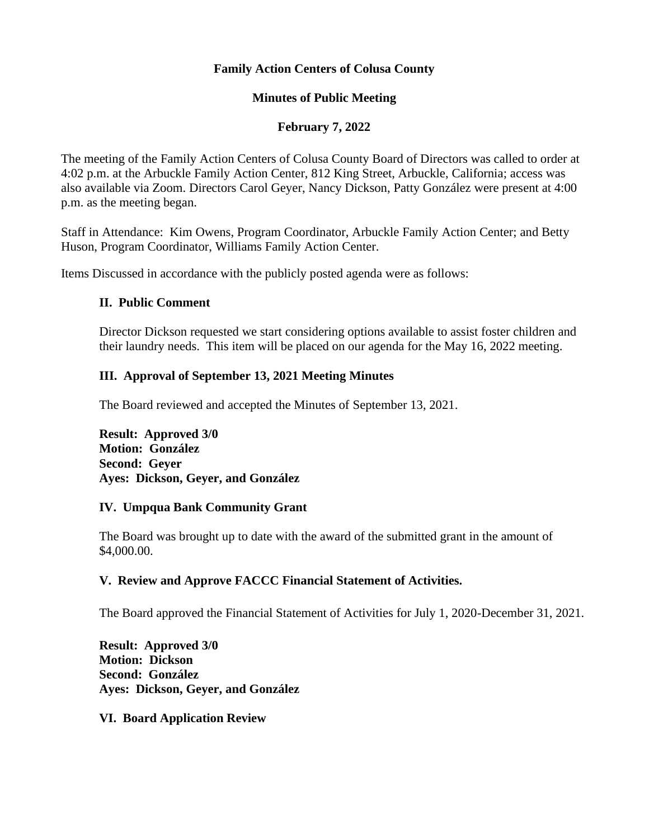## **Family Action Centers of Colusa County**

## **Minutes of Public Meeting**

## **February 7, 2022**

The meeting of the Family Action Centers of Colusa County Board of Directors was called to order at 4:02 p.m. at the Arbuckle Family Action Center, 812 King Street, Arbuckle, California; access was also available via Zoom. Directors Carol Geyer, Nancy Dickson, Patty González were present at 4:00 p.m. as the meeting began.

Staff in Attendance: Kim Owens, Program Coordinator, Arbuckle Family Action Center; and Betty Huson, Program Coordinator, Williams Family Action Center.

Items Discussed in accordance with the publicly posted agenda were as follows:

## **II. Public Comment**

Director Dickson requested we start considering options available to assist foster children and their laundry needs. This item will be placed on our agenda for the May 16, 2022 meeting.

## **III. Approval of September 13, 2021 Meeting Minutes**

The Board reviewed and accepted the Minutes of September 13, 2021.

**Result: Approved 3/0 Motion: González Second: Geyer Ayes: Dickson, Geyer, and González**

#### **IV. Umpqua Bank Community Grant**

The Board was brought up to date with the award of the submitted grant in the amount of \$4,000.00.

## **V. Review and Approve FACCC Financial Statement of Activities.**

The Board approved the Financial Statement of Activities for July 1, 2020-December 31, 2021.

**Result: Approved 3/0 Motion: Dickson Second: González Ayes: Dickson, Geyer, and González**

**VI. Board Application Review**